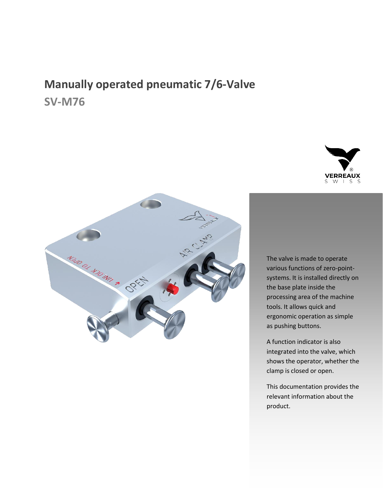# **Manually operated pneumatic 7/6-Valve SV-M76**





The valve is made to operate various functions of zero-pointsystems. It is installed directly on the base plate inside the processing area of the machine tools. It allows quick and ergonomic operation as simple as pushing buttons.

A function indicator is also integrated into the valve, which shows the operator, whether the clamp is closed or open.

This documentation provides the relevant information about the product.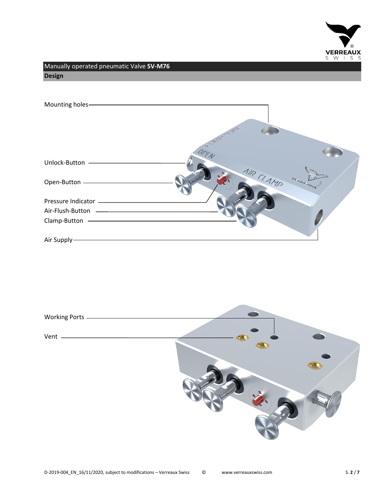

Manually operated pneumatic Valve **SV-M76 Design**

| Mounting holes-              |                          |
|------------------------------|--------------------------|
|                              | S CASH 19 BEE            |
| Unlock-Button -              | OPEN                     |
| Open-Button -                | AIR CLAMP<br>vinner surg |
| Pressure Indicator _________ |                          |
|                              |                          |
| Clamp-Button                 |                          |
| Air Supply-                  |                          |

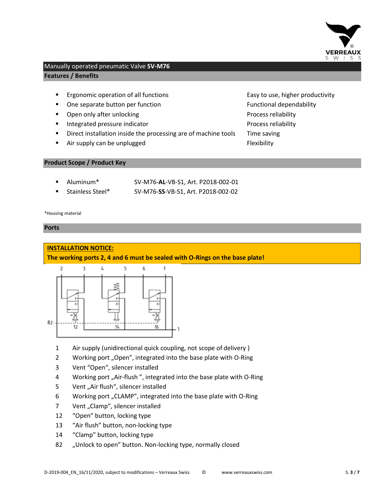

## Manually operated pneumatic Valve **SV-M76 Features / Benefits**

- Ergonomic operation of all functions **Easy to use, higher productivity**
- One separate button per function Function Functional dependability
- Open only after unlocking Process reliability
- **■** Integrated pressure indicator **Process reliability** Process reliability
- Direct installation inside the processing are of machine tools Time saving
- Air supply can be unplugged Flexibility

**Product Scope / Product Key**

| Aluminum*        | SV-M76-AL-VB-S1, Art. P2018-002-01 |
|------------------|------------------------------------|
| Stainless Steel* | SV-M76-SS-VB-S1, Art. P2018-002-02 |

\*Housing material

#### **Ports**

# **INSTALLATION NOTICE:**

#### **The working ports 2, 4 and 6 must be sealed with O-Rings on the base plate!**



- 1 Air supply (unidirectional quick coupling, not scope of delivery )
- 2 Working port "Open", integrated into the base plate with O-Ring
- 3 Vent "Open", silencer installed
- 4 Working port "Air-flush", integrated into the base plate with O-Ring
- 5 Vent "Air flush", silencer installed
- 6 Working port "CLAMP", integrated into the base plate with O-Ring
- 7 Vent "Clamp", silencer installed
- 12 "Open" button, locking type
- 13 "Air flush" button, non-locking type
- 14 "Clamp" button, locking type
- 82 "Unlock to open" button. Non-locking type, normally closed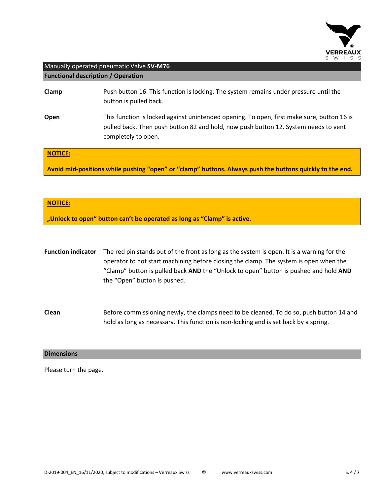

## Manually operated pneumatic Valve **SV-M76 Functional description / Operation**

| Clamp               | Push button 16. This function is locking. The system remains under pressure until the<br>button is pulled back.                                                                                          |
|---------------------|----------------------------------------------------------------------------------------------------------------------------------------------------------------------------------------------------------|
| Open                | This function is locked against unintended opening. To open, first make sure, button 16 is<br>pulled back. Then push button 82 and hold, now push button 12. System needs to vent<br>completely to open. |
| MOTICF <sup>1</sup> |                                                                                                                                                                                                          |

**NOTICE:**

**Avoid mid-positions while pushing "open" or "clamp" buttons. Always push the buttons quickly to the end.**

#### **NOTICE:**

**"Unlock to open" button can't be operated as long as "Clamp" is active.**

**Function indicator** The red pin stands out of the front as long as the system is open. It is a warning for the operator to not start machining before closing the clamp. The system is open when the "Clamp" button is pulled back **AND** the "Unlock to open" button is pushed and hold **AND** the "Open" button is pushed.

**Clean** Before commissioning newly, the clamps need to be cleaned. To do so, push button 14 and hold as long as necessary. This function is non-locking and is set back by a spring.

#### **Dimensions**

Please turn the page.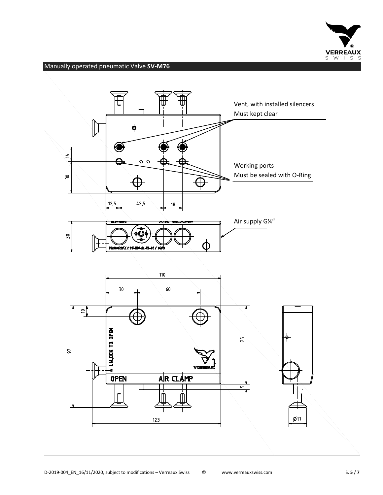

# Manually operated pneumatic Valve **SV-M76**

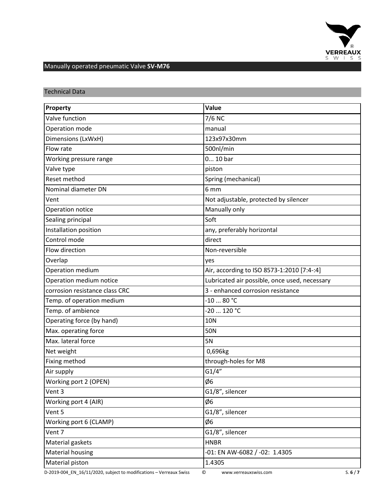

# Manually operated pneumatic Valve **SV-M76**

Technical Data

|                                | Value                                         |
|--------------------------------|-----------------------------------------------|
| Property                       |                                               |
| Valve function                 | 7/6 NC                                        |
| Operation mode                 | manual                                        |
| Dimensions (LxWxH)             | 123x97x30mm                                   |
| Flow rate                      | 500nl/min                                     |
| Working pressure range         | 0 10 bar                                      |
| Valve type                     | piston                                        |
| Reset method                   | Spring (mechanical)                           |
| Nominal diameter DN            | 6 mm                                          |
| Vent                           | Not adjustable, protected by silencer         |
| Operation notice               | Manually only                                 |
| Sealing principal              | Soft                                          |
| Installation position          | any, preferably horizontal                    |
| Control mode                   | direct                                        |
| Flow direction                 | Non-reversible                                |
| Overlap                        | yes                                           |
| Operation medium               | Air, according to ISO 8573-1:2010 [7:4-:4]    |
| Operation medium notice        | Lubricated air possible, once used, necessary |
| corrosion resistance class CRC | 3 - enhanced corrosion resistance             |
| Temp. of operation medium      | $-1080 °C$                                    |
| Temp. of ambience              | $-20120$ °C                                   |
| Operating force (by hand)      | <b>10N</b>                                    |
| Max. operating force           | <b>50N</b>                                    |
| Max. lateral force             | <b>5N</b>                                     |
| Net weight                     | 0,696kg                                       |
| Fixing method                  | through-holes for M8                          |
| Air supply                     | G1/4"                                         |
| Working port 2 (OPEN)          | Ø6                                            |
| Vent 3                         | G1/8", silencer                               |
| Working port 4 (AIR)           | Ø6                                            |
| Vent 5                         | G1/8", silencer                               |
| Working port 6 (CLAMP)         | Ø6                                            |
| Vent 7                         | G1/8", silencer                               |
| Material gaskets               | <b>HNBR</b>                                   |
| Material housing               | -01: EN AW-6082 / -02: 1.4305                 |
| Material piston                | 1.4305                                        |
|                                |                                               |

D-2019-004\_EN\_16/11/2020, subject to modifications – Verreaux Swiss © www.verreauxswiss.com S. **6** / **7**